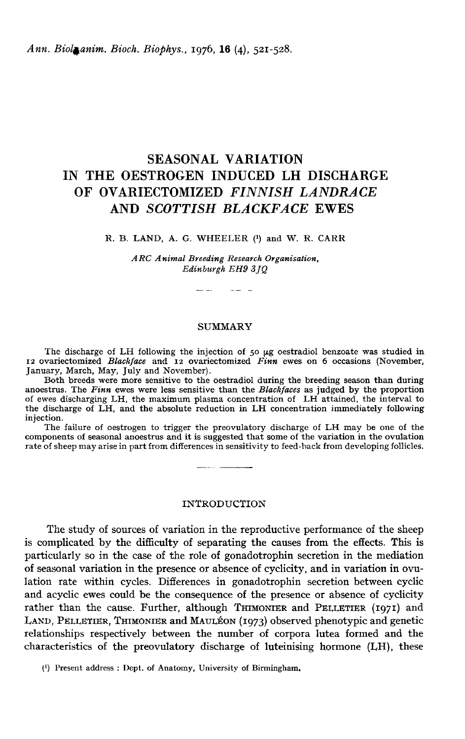Ann. Biolanim. Bioch. Biophys., 1976, 16 (4), 521-528.

# SEASONAL VARIATION IN THE OESTROGEN INDUCED LH DISCHARGE OF OVARIECTOMIZED FINNISH LANDRACE AND SCOTTISH BLACKFACE EWES

#### R. B. LAND, A. G. WHEELER (1) and W. R. CARR

ARC Animal Breeding Research Organisation, Edinburgh EH9 3JQ

المستحدث المستحد

#### SUMMARY

The discharge of LH following the injection of 50  $\mu$ g oestradiol benzoate was studied in 12 ovariectomized Blackface and 12 ovariectomized Finn ewes on 6 occasions (November, January, March, May, July and November).

anoestrus. The Finn ewes were less sensitive than the Blackfaces as judged by the proportion<br>of ewes discharging LH, the maximum plasma concentration of LH attained, the interval to the discharge of LH, and the absolute reduction in LH concentration immediately following injection.

The failure of oestrogen to trigger the preovulatory discharge of LH may be one of the components of seasonal anoestrus and it is suggested that some of the variation in the ovulation rate of sheep may arise in part from differences in sensitivity to feed-back from developing follicles.

- ...

#### INTRODUCTION

The study of sources of variation in the reproductive performance of the sheep is complicated by the difficulty of separating the causes from the effects. This is particularly so in the case of the role of gonadotrophin secretion in the mediation of seasonal variation in the presence or absence of cyclicity, and in variation in ovulation rate within cycles. Differences in gonadotrophin secretion between cyclic and acyclic ewes could be the consequence of the presence or absence of cyclicity rather than the cause. Further, although THIMONIER and PELLETIER  $(1971)$  and rational acyclic are of the causes in the enects. This is<br>particularly so in the case of the role of gonadotrophin secretion in the mediation<br>of seasonal variation in the presence or absence of cyclicity, and in variation particularly so in the case of the role of gonadotrophin secretion in the mediation<br>of seasonal variation in the presence or absence of cyclicity, and in variation in ovu-<br>lation rate within cycles. Differences in gonadotr characteristics of the preovulatory discharge of luteinising hormone (LH), these

(1) Present address : Dept. of Anatomy, University of Birmingham.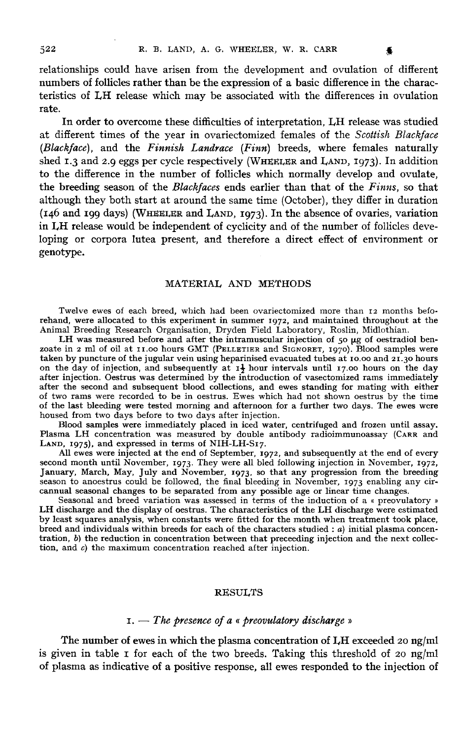relationships could have arisen from the development and ovulation of different numbers of follicles rather than be the expression of a basic difference in the characteristics of LH release which may be associated with the differences in ovulation rate.

In order to overcome these difficulties of interpretation, LH release was studied at different times of the year in ovariectomized females of the Scottish Blackface  $(Blacket$ ce), and the  $Finnish$   $Landrace$   $(Finn)$  breeds, where females naturally at different times of the year in ovariectomized females of the *Scottish Blackface*<br>(*Blackface*), and the *Finnish Landrace* (*Finn*) breeds, where females naturally<br>shed 1.3 and 2.9 eggs per cycle respectively (WHEELER to the difference in the number of follicles which normally develop and ovulate, the breeding season of the Blackfaces ends earlier than that of the Finns, so that although they both start at around the same time (October), they differ in duration (146 and 199 days) (WHEELER and LAND, 1973 ). In the absence of ovaries, variation in I,H release would be independent of cyclicity and of the number of follicles developing or corpora lutea present, and therefore a direct effect of environment or genotype.

## MATERIAL AND METHODS

Twelve ewes of each breed, which had been ovariectomized more than 12 months beforehand, were allocated to this experiment in summer 1972 , and maintained throughout at the Animal Breeding Research Organisation, Dryden Field Laboratory, Roslin, Midlothian.

LH was measured before and after the intramuscular injection of 50  $\mu$ g of oestradiol ben-Twelve ewes of each breed, which had been ovariectomized more than 12 months beforehand, were allocated to this experiment in summer 1972, and maintained throughout at the Animal Breeding Research Organisation, Dryden Fiel taken by puncture of the jugular vein using heparinised evacuated tubes at 10.00 and 21.30 hours on the day of injection, and subsequently at  $1\frac{1}{2}$  hour intervals until 17.00 hours on the day after injection. Oestrus was determined by the introduction of vasectomized rams immediately after the second and subsequent blood collections, and ewes standing for mating with either of two rams were recorded to be in oestrus. Ewes which had not shown oestrus by the time of the last bleeding were tested morning and afternoon for a further two days. The ewes were housed from two days before to two days after injection. by the introduction of vasectomized rams immediately<br>collections, and ewes standing for mating with either<br>trus. Ewes which had not shown oestrus by the time<br>and aftermoon for a further two days. The ewes were<br>ostaired in

Blood samples were immediately placed in iced water, centrifuged and frozen until assay. Plasma LH concentration was measured by double antibody radioimmunoassay (CARR and Plasma LH concentration was measure<br>LAND, 1975), and expressed in terms of

All ewes were injected at the end of LAND, 1975), and expressed in terms of NIH-LH-S17.<br>All ewes were injected at the end of September, 1972, and subsequently at the end of every<br>second month until November, 1973. They were all bled following injection in Nov All ewes were injected at the end of September, 1972, and subsequently at the end of every second month until November, 1973. They were all bled following injection in November, 1972, January, March, May, July and November cannual seasonal changes to be separated from any possible age or linear time changes.

Seasonal and breed variation was assessed in terms of the induction of a « preovulatory » LH discharge and the display of oestrus. The characteristics of the LH discharge were estimated by least squares analysis, when constants were fitted for the month when treatment took place, breed and individuals within breeds for each of the characters studied : a) initial plasma concentration, b) the reduction in concentration between that preceeding injection and the next collection, and  $c$ ) the maximum concentration reached after injection.

#### RESULTS

## $1. -$  The presence of a « preovulatory discharge »

The number of ewes in which the plasma concentration of I,H exceeded 20 ng/ml is given in table I for each of the two breeds. Taking this threshold of 20  $\frac{ng}{ml}$ of plasma as indicative of a positive response, all ewes responded to the injection of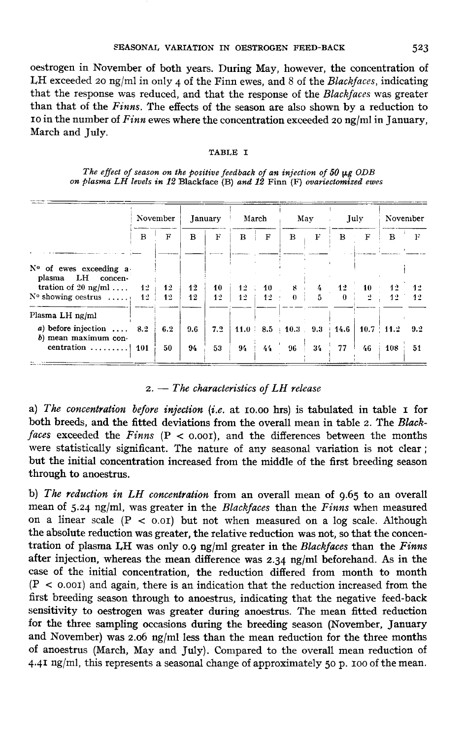oestrogen in November of both years. During May, however, the concentration of LH exceeded 20 ng/ml in only 4 of the Finn ewes, and 8 of the *Blackfaces*, indicating that the response was reduced, and that the response of the Blackfaces was greater than that of the Finns. The effects of the season are also shown by a reduction to <sup>10</sup> in the number of Finn ewes where the concentration exceeded 20 ng/ml in January, March and July.

#### TABLE I

The effect of season on the positive feedback of an injection of 50  $\mu$ g ODB on plasma LH levels in 12 Blackface (B) and 12 Finn (F) ovariectomized ewes

|                     |                                                                                                                                           |                |             |               |    |                 |                       |                                                                |         |                 | November                        |
|---------------------|-------------------------------------------------------------------------------------------------------------------------------------------|----------------|-------------|---------------|----|-----------------|-----------------------|----------------------------------------------------------------|---------|-----------------|---------------------------------|
| $\mathbf{B}$        | F                                                                                                                                         | в              | $\mathbf F$ | B             | F  | B               | F                     | в                                                              | F       | в               | F                               |
| 12                  | 12                                                                                                                                        | 12             | 10          |               |    |                 | $\frac{1}{2}$         | 12                                                             | 10      | 12              | -42<br>12                       |
|                     |                                                                                                                                           |                |             |               |    |                 |                       |                                                                |         |                 |                                 |
|                     | 6.2<br>50                                                                                                                                 | 9.6<br>94      | 7.2<br>53   | 94            | 44 | 96              | 34                    | 77                                                             | 46      | 108             | 9.2<br>51                       |
| tration of 20 ng/ml | N° of ewes exceeding a<br>$N^{\circ}$ showing oestrus<br>1 <sup>2</sup><br>a) before injection $\ldots$ 8.2<br>centration<br>$\sqrt{101}$ | November<br>12 | 12          | January<br>12 | 12 | March<br>$12 -$ | <b>10</b><br>$12 - 1$ | May<br>$-8$<br>$\mathbf{0}$<br>5.<br>$11.0$   8.5   10.3   9.3 | $+14.6$ | July<br>$\cdot$ | $12^{\circ}$<br>$10.7 \pm 11.2$ |

#### $2. - The characteristics of LH release$

a) The concentration before injection (i.e. at 10.00 hrs) is tabulated in table 1 for both breeds, and the fitted deviations from the overall mean in table 2. The Blackfaces exceeded the Finns (P < 0.001), and the differences between the months were statistically significant. The nature of any seasonal variation is not clear ; but the initial concentration increased from the middle of the first breeding season through to anoestrus.

b) The reduction in LH concentration from an overall mean of 9.65 to an overall mean of 5.24 ng/ml, was greater in the Blackfaces than the Finns when measured on a linear scale  $(P < 0.0I)$  but not when measured on a log scale. Although the absolute reduction was greater, the relative reduction was not, so that the concentration of plasma LH was only 0.9 ng/ml greater in the Blackfaces than the Finns after injection, whereas the mean difference was  $2.34 \text{ ng/ml}$  beforehand. As in the case of the initial concentration, the reduction differed from month to month  $(P < 0.001)$  and again, there is an indication that the reduction increased from the first breeding season through to anoestrus, indicating that the negative feed-back sensitivity to oestrogen was greater during anoestrus. The mean fitted reduction for the three sampling occasions during the breeding season (November, January and November) was 2.06 ng/ml less than the mean reduction for the three months of anoestrus (March, May and July). Compared to the overall mean reduction of  $4.4I$  ng/ml, this represents a seasonal change of approximately 50 p. 100 of the mean.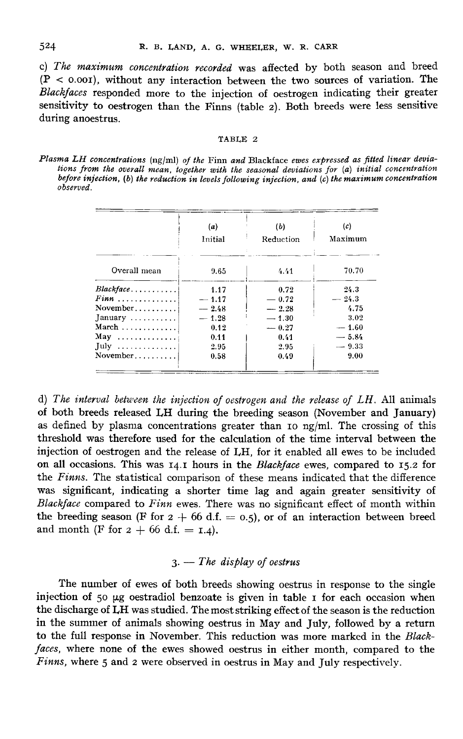$524$ 

c) The maximum concentration recorded was affected by both season and breed  $(P < 0.001)$ , without any interaction between the two sources of variation. The Blackfaces responded more to the injection of oestrogen indicating their greater sensitivity to oestrogen than the Finns (table 2). Both breeds were less sensitive during anoestrus.

#### TABLE 2

Plasma LH concentrations (ng/ml) of the Finn and Blackface ewes expressed as fitted linear deviations from the overall mean, together with the seasonal deviations for (a) initial concentration before injection, (b) the reduction in levels following injection, and (c) the maximum concentration observed.

|                                     | (a)     | (b)       | (c)     |
|-------------------------------------|---------|-----------|---------|
|                                     | Initial | Reduction | Maximum |
| Overall mean                        | 9.65    | 4.41      | 70.70   |
| Blackface                           | 1.17    | 0.72      | 24.3    |
| $F$ inn                             | $-1.17$ | $-0.72$   | $-24.3$ |
| November                            | $-2.48$ | $-2.28$   | 4.75    |
| $January \ldots \ldots \ldots$      | $-1.28$ | $-1.30$   | 3.02    |
| $March \ldots \ldots \ldots \ldots$ | 0.12    | $=0.27$   | $-1.60$ |
| $May \ldots \ldots \ldots \ldots$   | 0.11    | 0.41      | $-5.84$ |
| $July \dots \dots \dots \dots$      | 2.95    | 2.95      | $-9.33$ |
| November                            | 0.58    | 0.49      | 9.00    |

d) The interval between the injection of oestrogen and the release of  $LH$ . All animals of both breeds released I,H during the breeding season (November and January) as defined by plasma concentrations greater than 10 ng/ml. The crossing of this threshold was therefore used for the calculation of the time interval between the injection of oestrogen and the release of I,H, for it enabled all ewes to be included on all occasions. This was 14.1 hours in the Blackface ewes, compared to 15.2 for the Finns. The statistical comparison of these means indicated that the difference was significant, indicating a shorter time lag and again greater sensitivity of *Blackface* compared to *Finn* ewes. There was no significant effect of month within the breeding season (**F** for  $2 + 66$  d.f. = 0.5), or of an interaction between breed the breeding season (F for  $2 + 66$  d.f. = 0.5), or of an interaction between breed and month (F for  $2 + 66$  d.f. = 1.4).

# $3. - The$  display of oestrus

The number of ewes of both breeds showing oestrus in response to the single injection of 50  $\mu$ g oestradiol benzoate is given in table  $I$  for each occasion when the discharge of I,H was studied. The most striking effect of the season is the reduction in the summer of animals showing oestrus in May and July, followed by a return to the full response in November. This reduction was more marked in the Blackfaces, where none of the ewes showed oestrus in either month, compared to the Finns, where 5 and 2 were observed in oestrus in May and July respectively.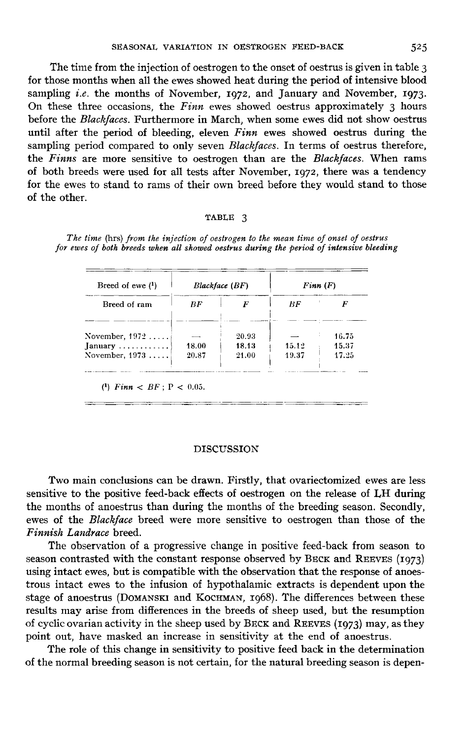The time from the injection of oestrogen to the onset of oestrus is given in table 3 For those months when all the ewes showed heat during the period of intensive blood<br>sampling *i.e.* the months of November, 1972, and January and November, 1973.<br>On these three occasions, the *Einn* ewes showed oetrus app On these three occasions, the  $F$ *inn* ewes showed oestrus approximately 3 hours before the Blackfaces. Furthermore in March, when some ewes did not show oestrus until after the period of bleeding, eleven  $Finn$  ewes showed oestrus during the sampling period compared to only seven *Blackfaces*. In terms of oestrus therefore, sampling period compared to only seven *Blackfaces*. In terms of oestris difference, the *Finns* are more sensitive to oestrogen than are the *Blackfaces*. When rams of both breeds were used for all tests after November, 1 for the ewes to stand to rams of their own breed before they would stand to those of the other.

#### TABLE 3

| Breed of ewe $(1)$          |        | Blackface(BF) | $F$ inn $(F)$ |       |  |
|-----------------------------|--------|---------------|---------------|-------|--|
| Breed of ram                | BF     | F             | BF            |       |  |
| November, $1972$            | $\sim$ | 20.93         |               | 16.75 |  |
| $January \dots \dots \dots$ | 18.00  | 18.13         | 15.12         | 15.37 |  |
| November, $1973$            | 20.87  | 21.00         | 19.37         | 17.25 |  |

The time (hrs) from the injection of oestrogen to the mean time of onset of oestrus for ewes of both breeds when all showed oestrus during the period of intensive bleeding

#### DISCUSSION

Two main conclusions can be drawn. Firstly, that ovariectomized ewes are less sensitive to the positive feed-back effects of oestrogen on the release of LH during the months of anoestrus than during the months of the breeding season. Secondly, ewes of the Blackface breed were more sensitive to oestrogen than those of the Finnish Landrace breed.

The observation of a progressive change in positive feed-back from season to season contrasted with the constant response observed by BECK and REEVES (1973) using intact ewes, but is compatible with the observation that the response of anoestrous intact ewes to the infusion of hypothalamic extracts is dependent upon the The observation of a progressive change in positive feed-back from season to<br>season contrasted with the constant response observed by BECK and REEVES (1973)<br>using intact ewes, but is compatible with the observation that th results may arise from differences in the breeds of sheep used, but the resumption stage of anoestrus (Domanski and Kochman, 1968). The differences between these<br>results may arise from differences in the breeds of sheep used, but the resumption<br>of cyclic ovarian activity in the sheep used by BECK and REE point out, have masked an increase in sensitivity at the end of anoestrus.

The role of this change in sensitivity to positive feed back in the determination of the normal breeding season is not certain, for the natural breeding season is depen-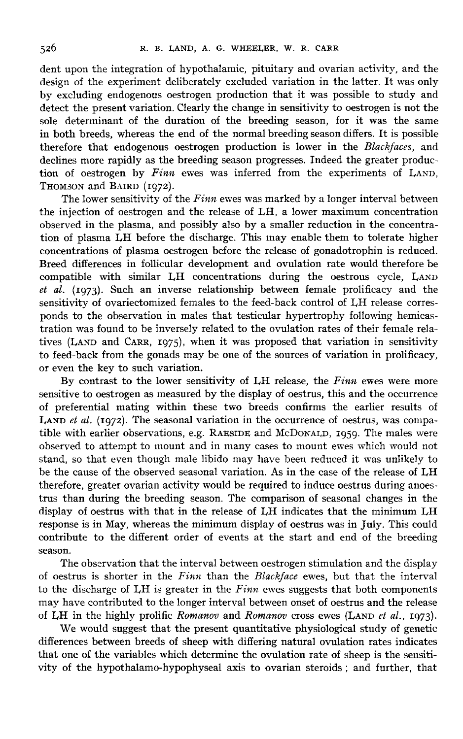dent upon the integration of hypothalamic, pituitary and ovarian activity, and the design of the experiment deliberately excluded variation in the latter. It was only by excluding endogenous oestrogen production that it was possible to study and detect the present variation. Clearly the change in sensitivity to oestrogen is not the sole determinant of the duration of the breeding season, for it was the same in both breeds, whereas the end of the normal breeding season differs. It is possible therefore that endogenous oestrogen production is lower in the Blackfaces, and declines more rapidly as the breeding season progresses. Indeed the greater production of oestrogen by Finn ewes was inferred from the experiments of LAND, in both b<br>therefore<br>declines r<br>tion of c<br>Thomson<br>The l THOMSON and BAIRD (1972).

The lower sensitivity of the  $F$ *inn* ewes was marked by a longer interval between the injection of oestrogen and the release of I,H, a lower maximum concentration observed in the plasma, and possibly also by a smaller reduction in the concentration of plasma I,H before the discharge. This may enable them to tolerate higher concentrations of plasma oestrogen before the release of gonadotrophin is reduced. Breed differences in follicular development and ovulation rate would therefore be compatible with similar LH concentrations during the oestrous cycle, LAND  $et$  al. (1973). Such an inverse relationship between female prolificacy and the sensitivity of ovariectomized females to the feed-back control of LH release corresponds to the observation in males that testicular hypertrophy following hemicastration was found to be inversely related to the ovulation rates of their female relaponds to the observation in males that testicular hypertrophy following hemicastration was found to be inversely related to the ovulation rates of their female relatives (LAND and CARR, 1975), when it was proposed that var to feed-back from the gonads may be one of the sources of variation in prolificacy, or even the key to such variation.

By contrast to the lower sensitivity of LH release, the Finn ewes were more sensitive to oestrogen as measured by the display of oestrus, this and the occurrence of preferential mating within these two breeds confirms the earlier results of I, and the search et al. (1972). The seasonal variation in the occurrence of oestrus, was compa-<br>LAND *et al.* (1972). The seasonal variation in the occurrence of oestrus, was compa-Example with earlier observations, e.g. RAE SIDE and McDoNALD, 1959. The males were more of preferential mating within these two breeds confirms the earlier results of LAND *et al.* (1972). The seasonal variation in the o observed to attempt to mount and in many cases to mount ewes which would not stand, so that even though male libido may have been reduced it was unlikely to be the cause of the observed seasonal variation. As in the case of the release of I,H therefore, greater ovarian activity would be required to induce oestrus during anoestrus than during the breeding season. The comparison of seasonal changes in the display of oestrus with that in the release of I,H indicates that the minimum LH response is in May, whereas the minimum display of oestrus was in July. This could contribute to the different order of events at the start and end of the breeding season.

The observation that the interval between oestrogen stimulation and the display of oestrus is shorter in the Finn than the Blackface ewes, but that the interval to the discharge of LH is greater in the  $F$ *inn* ewes suggests that both components may have contributed to the longer interval between onset of oestrus and the release<br>of LH in the highly prolific Romanov and Romanov cross ewes (LAND et al., 1973).<br>We would away that the present quantitative physiologica

We would suggest that the present quantitative physiological study of genetic differences between breeds of sheep with differing natural ovulation rates indicates that one of the variables which determine the ovulation rate of sheep is the sensitivity of the hypothalamo-hypophyseal axis to ovarian steroids ; and further, that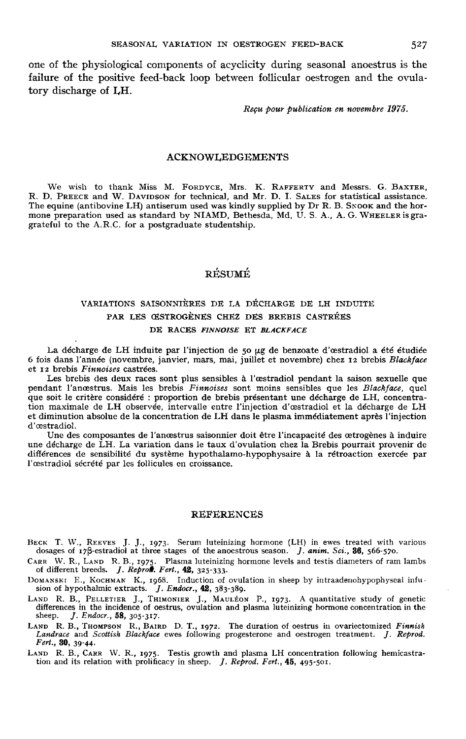one of the physiological components of acyclicity during seasonal anoestrus is the failure of the positive feed-back loop between follicular oestrogen and the ovulatory discharge of LH.

Reçu pour publication en novembre 1975.

#### ACKNOWLEDGEMENTS

We wish to the West Consumer the equine (antibovies) We wish to thank Miss M. FORDYCE, Mrs. K. RAFFERTY and Messrs. G. *H*<br>hank Miss M<br>W. Davipson<br>ine LH) antise CKNOWLEDGEMENTS<br>
FORDYCE, Mrs. K. RAFFERTY and Messrs. G. BAXTER,<br>
for technical, and Mr. D. I. SALES for statistical assistance. The equine (antibovine LH) antiserum used was kindly supplied by Dr R. B. Sxook and the hormone preparation used as standard by NIAMD, Bethesda, Md, U. S. A., A. G. WHEELER is gragrateful to the A.R.C. for a postgraduate studentship.

# RÉSUMÉ

# VARIATIONS SAISONNIÈRES DE LA DÉCHARGE DE I,H INDUITE PAR LES ŒSTROGENES CHEZ DES BREBIS CASTRÉES RESUME<br>ISONNIÈRES DE LA DÉCHARGE D<br>CESTROGÈNES CHEZ DES BREBIS<br>DE RACES FINNOISE ET BLACKFACE

La décharge de LH induite par l'injection de 50 µg de benzoate d'œstradiol a été étudiée 6 fois dans l'année (novembre, janvier, mars, mai, juillet et novembre) chez 12 brebis Blackface et 12 brebis Finnoises castrées.

Les brebis des deux races sont plus sensibles à l'oestradiol pendant la saison sexuelle que pendant l'ancestrus. Mais les brebis *Finnoises* sont moins sensibles que les Blackface, quel que soit le critère considéré : proportion de brebis présentant une décharge de LH, concentration maximale de LH observée, intervalle entre l'injection d'oestradiol et la décharge de LH et diminution absolue de la concentration de LH dans le plasma immédiatement après l'injection d'oestradiol.

Une des composantes de l'anoestrus saisonnier doit être l'incapacité des cetrogènes à induire une décharge de LH. La variation dans le taux d'ovulation chez la Brebis pourrait provenir de différences de sensibilité du système hypothalamo-hypophysaire à la rétroaction exercée par l'oestradiol sécrété par les follicules en croissance.

#### REFERENCES

REFERENCES<br>
dosages of 17 B-estradiol at three stages of the anocstrous season. *J. anim. Sci.*, **36**, 566-570.<br>
CARR W. R., LAND R. B., 1973. Plasma luteinizing hormone (LH) in ewes treated with various<br>
caRR W. R., LAND

CARR W. R., LAND R. B., 1975. Plasma luteinizing hormone levels and testis diameters of ram lambs of different breeds. *J. Reprod. Fert.*, 42, 325-333.<br>DOMANSKI E., KOCHMAN K., 1968. Induction of ovulation in sheep by int differences in the incidence of oestrus, ovulation and plasma luteinizing hormone concentration in the sheep. J. Endocr., 58, 305-317. DOMANSKI E., KOCHMAN K., 1968. Induction of ovulation in sheep by intraadenohypophyseal infu<br>sion of hypothalmic extracts. *J. Endocr.*, 42, 383-389.<br>LAND R. B., PELLETIER J., THOMPIER J., MAULÉON P., 1973. A quantitative

Landrace and Scottish Blackface ewes following progesterone and oestrogen treatment. J. Reprod.<br>Fert., **30**, 39-44.<br>LAND R. B., CARR W. R., 1975. Testis growth and plasma LH concentration following hemicastra-<br>tion and its Fert., 30, 39-44. LAND R. B., THOMPSON R., BAIRD D. T., 1972. The duration of oestrus in ovariectomized Finnish Landrace and Scottish Blackface ewes following progesterone and oestrogen treatment. *J. Reprod.* Fert., **30**, 39-44.<br>Fert., **30**